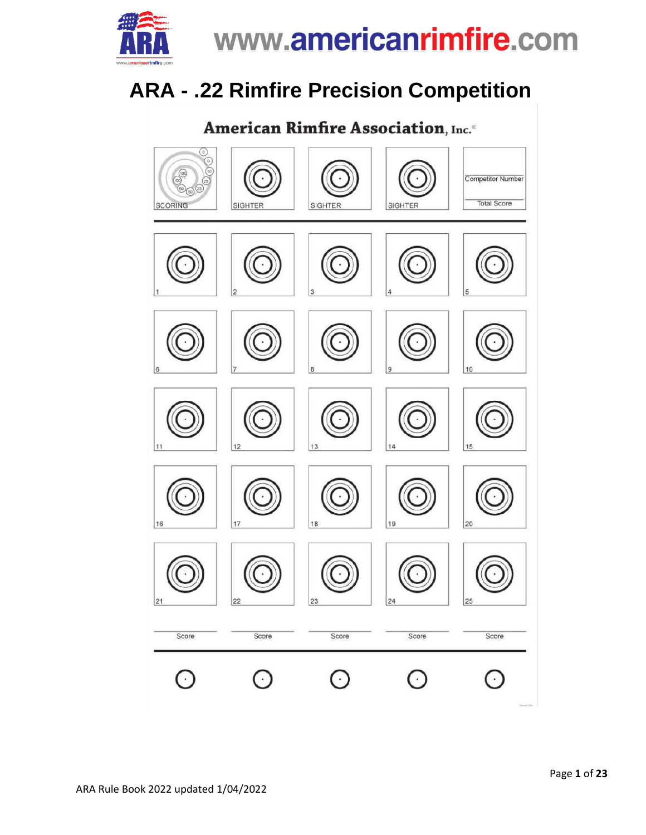

### **ARA - .22 Rimfire Precision Competition**

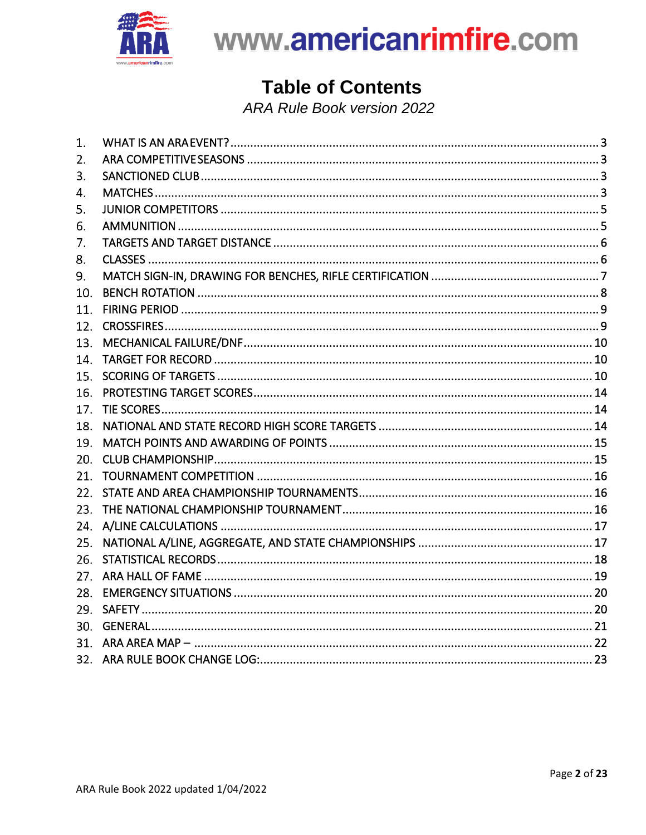

### **Table of Contents**

**ARA Rule Book version 2022** 

| 1.  |  |
|-----|--|
| 2.  |  |
| 3.  |  |
| 4.  |  |
| 5.  |  |
| 6.  |  |
| 7.  |  |
| 8.  |  |
| 9.  |  |
| 10. |  |
| 11. |  |
| 12. |  |
| 13. |  |
| 14. |  |
| 15. |  |
| 16. |  |
| 17. |  |
| 18. |  |
| 19. |  |
| 20. |  |
| 21. |  |
| 22. |  |
| 23. |  |
| 24. |  |
| 25. |  |
| 26. |  |
| 27. |  |
| 28. |  |
| 29. |  |
| 30. |  |
|     |  |
|     |  |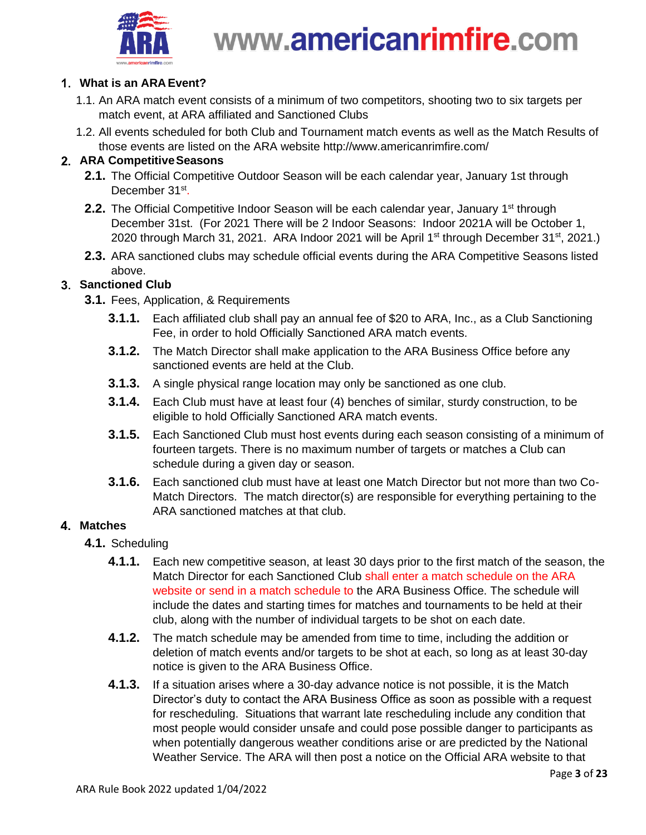

### <span id="page-2-0"></span>**What is an ARA Event?**

- 1.1. An ARA match event consists of a minimum of two competitors, shooting two to six targets per match event, at ARA affiliated and Sanctioned Clubs
- 1.2. All events scheduled for both Club and Tournament match events as well as the Match Results of those events are listed on the ARA website http://www.americanrimfire.com/

#### <span id="page-2-1"></span>**ARA CompetitiveSeasons**

- **2.1.** The Official Competitive Outdoor Season will be each calendar year, January 1st through December 31st.
- **2.2.** The Official Competitive Indoor Season will be each calendar year, January 1<sup>st</sup> through December 31st. (For 2021 There will be 2 Indoor Seasons: Indoor 2021A will be October 1, 2020 through March 31, 2021. ARA Indoor 2021 will be April 1<sup>st</sup> through December 31<sup>st</sup>, 2021.)
- **2.3.** ARA sanctioned clubs may schedule official events during the ARA Competitive Seasons listed above.

### <span id="page-2-2"></span>**Sanctioned Club**

- **3.1.** Fees, Application, & Requirements
	- **3.1.1.** Each affiliated club shall pay an annual fee of \$20 to ARA, Inc., as a Club Sanctioning Fee, in order to hold Officially Sanctioned ARA match events.
	- **3.1.2.** The Match Director shall make application to the ARA Business Office before any sanctioned events are held at the Club.
	- **3.1.3.** A single physical range location may only be sanctioned as one club.
	- **3.1.4.** Each Club must have at least four (4) benches of similar, sturdy construction, to be eligible to hold Officially Sanctioned ARA match events.
	- **3.1.5.** Each Sanctioned Club must host events during each season consisting of a minimum of fourteen targets. There is no maximum number of targets or matches a Club can schedule during a given day or season.
	- **3.1.6.** Each sanctioned club must have at least one Match Director but not more than two Co-Match Directors. The match director(s) are responsible for everything pertaining to the ARA sanctioned matches at that club.

### <span id="page-2-3"></span>**Matches**

- **4.1.** Scheduling
	- **4.1.1.** Each new competitive season, at least 30 days prior to the first match of the season, the Match Director for each Sanctioned Club shall enter a match schedule on the ARA website or send in a match schedule to the ARA Business Office. The schedule will include the dates and starting times for matches and tournaments to be held at their club, along with the number of individual targets to be shot on each date.
	- **4.1.2.** The match schedule may be amended from time to time, including the addition or deletion of match events and/or targets to be shot at each, so long as at least 30-day notice is given to the ARA Business Office.
	- **4.1.3.** If a situation arises where a 30-day advance notice is not possible, it is the Match Director's duty to contact the ARA Business Office as soon as possible with a request for rescheduling. Situations that warrant late rescheduling include any condition that most people would consider unsafe and could pose possible danger to participants as when potentially dangerous weather conditions arise or are predicted by the National Weather Service. The ARA will then post a notice on the Official ARA website to that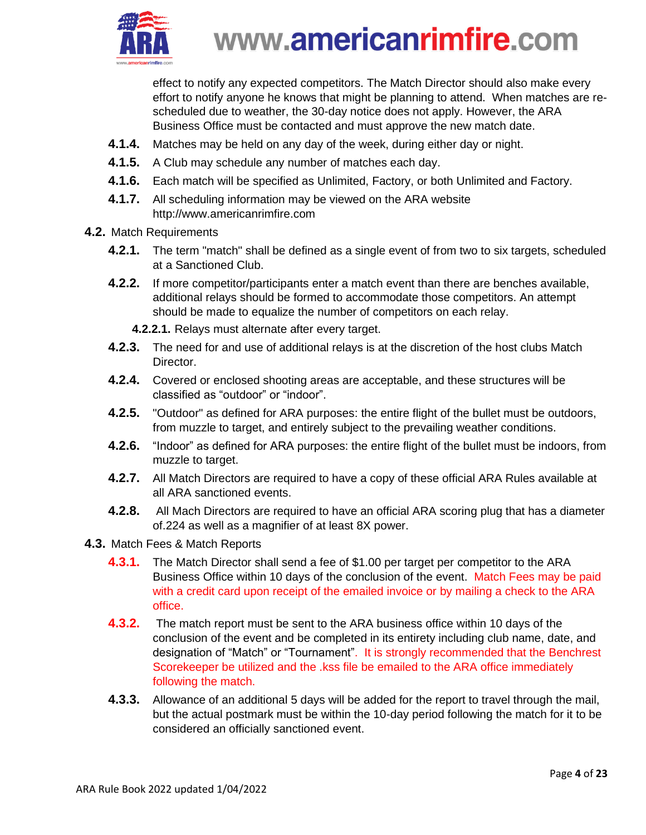

effect to notify any expected competitors. The Match Director should also make every effort to notify anyone he knows that might be planning to attend. When matches are rescheduled due to weather, the 30-day notice does not apply. However, the ARA Business Office must be contacted and must approve the new match date.

- **4.1.4.** Matches may be held on any day of the week, during either day or night.
- **4.1.5.** A Club may schedule any number of matches each day.
- **4.1.6.** Each match will be specified as Unlimited, Factory, or both Unlimited and Factory.
- **4.1.7.** All scheduling information may be viewed on the ARA website http://www.americanrimfire.com
- **4.2.** Match Requirements
	- **4.2.1.** The term "match" shall be defined as a single event of from two to six targets, scheduled at a Sanctioned Club.
	- **4.2.2.** If more competitor/participants enter a match event than there are benches available, additional relays should be formed to accommodate those competitors. An attempt should be made to equalize the number of competitors on each relay.
		- **4.2.2.1.** Relays must alternate after every target.
	- **4.2.3.** The need for and use of additional relays is at the discretion of the host clubs Match Director.
	- **4.2.4.** Covered or enclosed shooting areas are acceptable, and these structures will be classified as "outdoor" or "indoor".
	- **4.2.5.** "Outdoor" as defined for ARA purposes: the entire flight of the bullet must be outdoors, from muzzle to target, and entirely subject to the prevailing weather conditions.
	- **4.2.6.** "Indoor" as defined for ARA purposes: the entire flight of the bullet must be indoors, from muzzle to target.
	- **4.2.7.** All Match Directors are required to have a copy of these official ARA Rules available at all ARA sanctioned events.
	- **4.2.8.** All Mach Directors are required to have an official ARA scoring plug that has a diameter of.224 as well as a magnifier of at least 8X power.
- **4.3.** Match Fees & Match Reports
	- **4.3.1.** The Match Director shall send a fee of \$1.00 per target per competitor to the ARA Business Office within 10 days of the conclusion of the event. Match Fees may be paid with a credit card upon receipt of the emailed invoice or by mailing a check to the ARA office.
	- **4.3.2.** The match report must be sent to the ARA business office within 10 days of the conclusion of the event and be completed in its entirety including club name, date, and designation of "Match" or "Tournament". It is strongly recommended that the Benchrest Scorekeeper be utilized and the .kss file be emailed to the ARA office immediately following the match.
	- **4.3.3.** Allowance of an additional 5 days will be added for the report to travel through the mail, but the actual postmark must be within the 10-day period following the match for it to be considered an officially sanctioned event.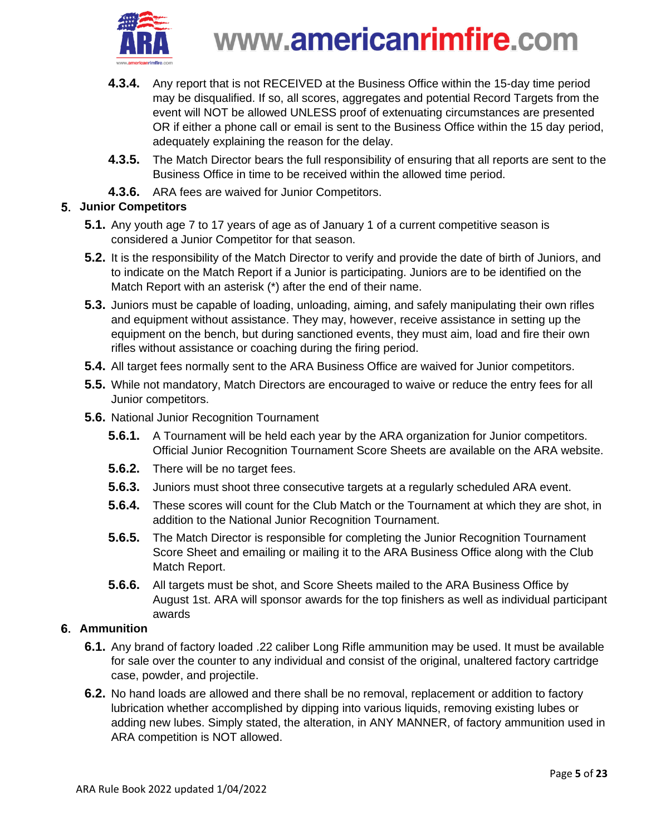

- **4.3.4.** Any report that is not RECEIVED at the Business Office within the 15-day time period may be disqualified. If so, all scores, aggregates and potential Record Targets from the event will NOT be allowed UNLESS proof of extenuating circumstances are presented OR if either a phone call or email is sent to the Business Office within the 15 day period, adequately explaining the reason for the delay.
- **4.3.5.** The Match Director bears the full responsibility of ensuring that all reports are sent to the Business Office in time to be received within the allowed time period.
- **4.3.6.** ARA fees are waived for Junior Competitors.

### <span id="page-4-0"></span>**Junior Competitors**

- **5.1.** Any youth age 7 to 17 years of age as of January 1 of a current competitive season is considered a Junior Competitor for that season.
- **5.2.** It is the responsibility of the Match Director to verify and provide the date of birth of Juniors, and to indicate on the Match Report if a Junior is participating. Juniors are to be identified on the Match Report with an asterisk (\*) after the end of their name.
- **5.3.** Juniors must be capable of loading, unloading, aiming, and safely manipulating their own rifles and equipment without assistance. They may, however, receive assistance in setting up the equipment on the bench, but during sanctioned events, they must aim, load and fire their own rifles without assistance or coaching during the firing period.
- **5.4.** All target fees normally sent to the ARA Business Office are waived for Junior competitors.
- **5.5.** While not mandatory, Match Directors are encouraged to waive or reduce the entry fees for all Junior competitors.
- **5.6.** National Junior Recognition Tournament
	- **5.6.1.** A Tournament will be held each year by the ARA organization for Junior competitors. Official Junior Recognition Tournament Score Sheets are available on the ARA website.
	- **5.6.2.** There will be no target fees.
	- **5.6.3.** Juniors must shoot three consecutive targets at a regularly scheduled ARA event.
	- **5.6.4.** These scores will count for the Club Match or the Tournament at which they are shot, in addition to the National Junior Recognition Tournament.
	- **5.6.5.** The Match Director is responsible for completing the Junior Recognition Tournament Score Sheet and emailing or mailing it to the ARA Business Office along with the Club Match Report.
	- **5.6.6.** All targets must be shot, and Score Sheets mailed to the ARA Business Office by August 1st. ARA will sponsor awards for the top finishers as well as individual participant awards

### <span id="page-4-1"></span>**Ammunition**

- **6.1.** Any brand of factory loaded .22 caliber Long Rifle ammunition may be used. It must be available for sale over the counter to any individual and consist of the original, unaltered factory cartridge case, powder, and projectile.
- **6.2.** No hand loads are allowed and there shall be no removal, replacement or addition to factory lubrication whether accomplished by dipping into various liquids, removing existing lubes or adding new lubes. Simply stated, the alteration, in ANY MANNER, of factory ammunition used in ARA competition is NOT allowed.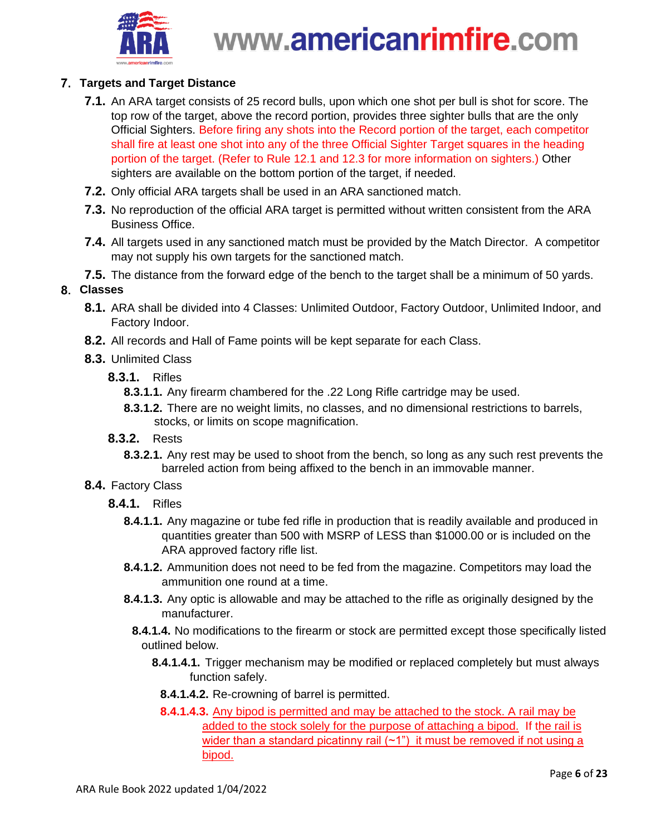

### <span id="page-5-0"></span>**Targets and Target Distance**

- **7.1.** An ARA target consists of 25 record bulls, upon which one shot per bull is shot for score. The top row of the target, above the record portion, provides three sighter bulls that are the only Official Sighters. Before firing any shots into the Record portion of the target, each competitor shall fire at least one shot into any of the three Official Sighter Target squares in the heading portion of the target. (Refer to Rule 12.1 and 12.3 for more information on sighters.) Other sighters are available on the bottom portion of the target, if needed.
- **7.2.** Only official ARA targets shall be used in an ARA sanctioned match.
- **7.3.** No reproduction of the official ARA target is permitted without written consistent from the ARA Business Office.
- **7.4.** All targets used in any sanctioned match must be provided by the Match Director. A competitor may not supply his own targets for the sanctioned match.
- **7.5.** The distance from the forward edge of the bench to the target shall be a minimum of 50 yards.

#### <span id="page-5-1"></span>**Classes**

- **8.1.** ARA shall be divided into 4 Classes: Unlimited Outdoor, Factory Outdoor, Unlimited Indoor, and Factory Indoor.
- **8.2.** All records and Hall of Fame points will be kept separate for each Class.
- **8.3.** Unlimited Class
	- **8.3.1.** Rifles
		- **8.3.1.1.** Any firearm chambered for the .22 Long Rifle cartridge may be used.
		- **8.3.1.2.** There are no weight limits, no classes, and no dimensional restrictions to barrels, stocks, or limits on scope magnification.
	- **8.3.2.** Rests
		- **8.3.2.1.** Any rest may be used to shoot from the bench, so long as any such rest prevents the barreled action from being affixed to the bench in an immovable manner.
- **8.4.** Factory Class
	- **8.4.1.** Rifles
		- **8.4.1.1.** Any magazine or tube fed rifle in production that is readily available and produced in quantities greater than 500 with MSRP of LESS than \$1000.00 or is included on the ARA approved factory rifle list.
		- **8.4.1.2.** Ammunition does not need to be fed from the magazine. Competitors may load the ammunition one round at a time.
		- **8.4.1.3.** Any optic is allowable and may be attached to the rifle as originally designed by the manufacturer.
			- **8.4.1.4.** No modifications to the firearm or stock are permitted except those specifically listed outlined below.
				- **8.4.1.4.1.** Trigger mechanism may be modified or replaced completely but must always function safely.
					- **8.4.1.4.2.** Re-crowning of barrel is permitted.
				- **8.4.1.4.3.** Any bipod is permitted and may be attached to the stock. A rail may be added to the stock solely for the purpose of attaching a bipod. If the rail is wider than a standard picatinny rail  $(-1)$  it must be removed if not using a bipod.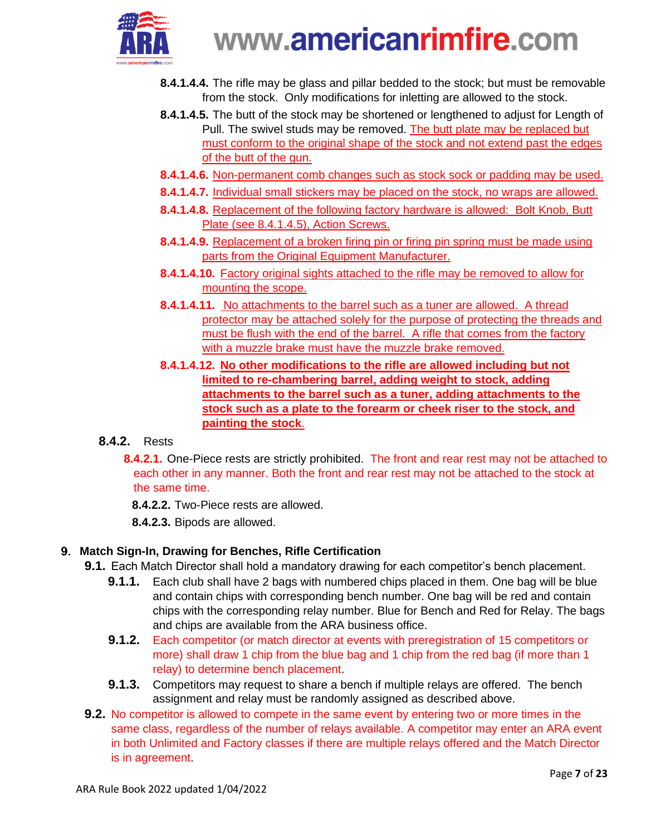

- **8.4.1.4.4.** The rifle may be glass and pillar bedded to the stock; but must be removable from the stock. Only modifications for inletting are allowed to the stock.
- **8.4.1.4.5.** The butt of the stock may be shortened or lengthened to adjust for Length of Pull. The swivel studs may be removed. The butt plate may be replaced but must conform to the original shape of the stock and not extend past the edges of the butt of the gun.
- **8.4.1.4.6.** Non-permanent comb changes such as stock sock or padding may be used.
- **8.4.1.4.7.** Individual small stickers may be placed on the stock, no wraps are allowed.
- **8.4.1.4.8.** Replacement of the following factory hardware is allowed: Bolt Knob, Butt Plate (see 8.4.1.4.5), Action Screws.
- **8.4.1.4.9.** Replacement of a broken firing pin or firing pin spring must be made using parts from the Original Equipment Manufacturer.
- **8.4.1.4.10.** Factory original sights attached to the rifle may be removed to allow for mounting the scope.
- **8.4.1.4.11.** No attachments to the barrel such as a tuner are allowed. A thread protector may be attached solely for the purpose of protecting the threads and must be flush with the end of the barrel. A rifle that comes from the factory with a muzzle brake must have the muzzle brake removed.
- **8.4.1.4.12. No other modifications to the rifle are allowed including but not limited to re-chambering barrel, adding weight to stock, adding attachments to the barrel such as a tuner, adding attachments to the stock such as a plate to the forearm or cheek riser to the stock, and painting the stock**.

### **8.4.2.** Rests

- **8.4.2.1.** One-Piece rests are strictly prohibited. The front and rear rest may not be attached to each other in any manner. Both the front and rear rest may not be attached to the stock at the same time.
	- **8.4.2.2.** Two-Piece rests are allowed.
	- **8.4.2.3.** Bipods are allowed.

### <span id="page-6-0"></span>**Match Sign-In, Drawing for Benches, Rifle Certification**

- **9.1.** Each Match Director shall hold a mandatory drawing for each competitor's bench placement.
	- **9.1.1.** Each club shall have 2 bags with numbered chips placed in them. One bag will be blue and contain chips with corresponding bench number. One bag will be red and contain chips with the corresponding relay number. Blue for Bench and Red for Relay. The bags and chips are available from the ARA business office.
	- **9.1.2.** Each competitor (or match director at events with preregistration of 15 competitors or more) shall draw 1 chip from the blue bag and 1 chip from the red bag (if more than 1 relay) to determine bench placement.
	- **9.1.3.** Competitors may request to share a bench if multiple relays are offered. The bench assignment and relay must be randomly assigned as described above.
- **9.2.** No competitor is allowed to compete in the same event by entering two or more times in the same class, regardless of the number of relays available. A competitor may enter an ARA event in both Unlimited and Factory classes if there are multiple relays offered and the Match Director is in agreement.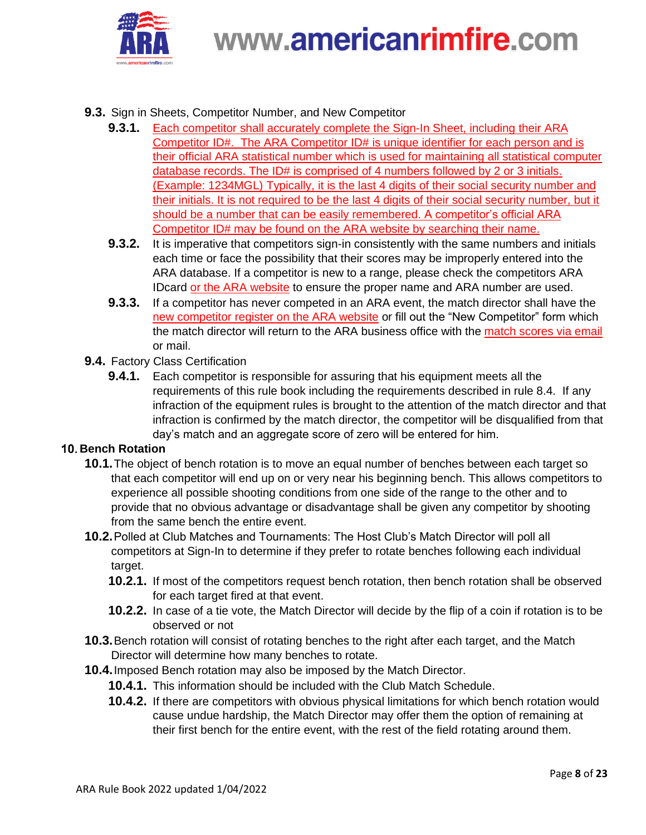

#### **9.3.** Sign in Sheets, Competitor Number, and New Competitor

- **9.3.1.** Each competitor shall accurately complete the Sign-In Sheet, including their ARA Competitor ID#. The ARA Competitor ID# is unique identifier for each person and is their official ARA statistical number which is used for maintaining all statistical computer database records. The ID# is comprised of 4 numbers followed by 2 or 3 initials. (Example: 1234MGL) Typically, it is the last 4 digits of their social security number and their initials. It is not required to be the last 4 digits of their social security number, but it should be a number that can be easily remembered. A competitor's official ARA Competitor ID# may be found on the ARA website by searching their name.
- **9.3.2.** It is imperative that competitors sign-in consistently with the same numbers and initials each time or face the possibility that their scores may be improperly entered into the ARA database. If a competitor is new to a range, please check the competitors ARA IDcard or the ARA website to ensure the proper name and ARA number are used.
- **9.3.3.** If a competitor has never competed in an ARA event, the match director shall have the new competitor register on the ARA website or fill out the "New Competitor" form which the match director will return to the ARA business office with the match scores via email or mail.

#### **9.4.** Factory Class Certification

**9.4.1.** Each competitor is responsible for assuring that his equipment meets all the requirements of this rule book including the requirements described in rule 8.4. If any infraction of the equipment rules is brought to the attention of the match director and that infraction is confirmed by the match director, the competitor will be disqualified from that day's match and an aggregate score of zero will be entered for him.

#### <span id="page-7-0"></span>**10. Bench Rotation**

- **10.1.**The object of bench rotation is to move an equal number of benches between each target so that each competitor will end up on or very near his beginning bench. This allows competitors to experience all possible shooting conditions from one side of the range to the other and to provide that no obvious advantage or disadvantage shall be given any competitor by shooting from the same bench the entire event.
- **10.2.**Polled at Club Matches and Tournaments: The Host Club's Match Director will poll all competitors at Sign-In to determine if they prefer to rotate benches following each individual target.
	- **10.2.1.** If most of the competitors request bench rotation, then bench rotation shall be observed for each target fired at that event.
	- **10.2.2.** In case of a tie vote, the Match Director will decide by the flip of a coin if rotation is to be observed or not
- **10.3.**Bench rotation will consist of rotating benches to the right after each target, and the Match Director will determine how many benches to rotate.
- **10.4.**Imposed Bench rotation may also be imposed by the Match Director.
	- **10.4.1.** This information should be included with the Club Match Schedule.
	- **10.4.2.** If there are competitors with obvious physical limitations for which bench rotation would cause undue hardship, the Match Director may offer them the option of remaining at their first bench for the entire event, with the rest of the field rotating around them.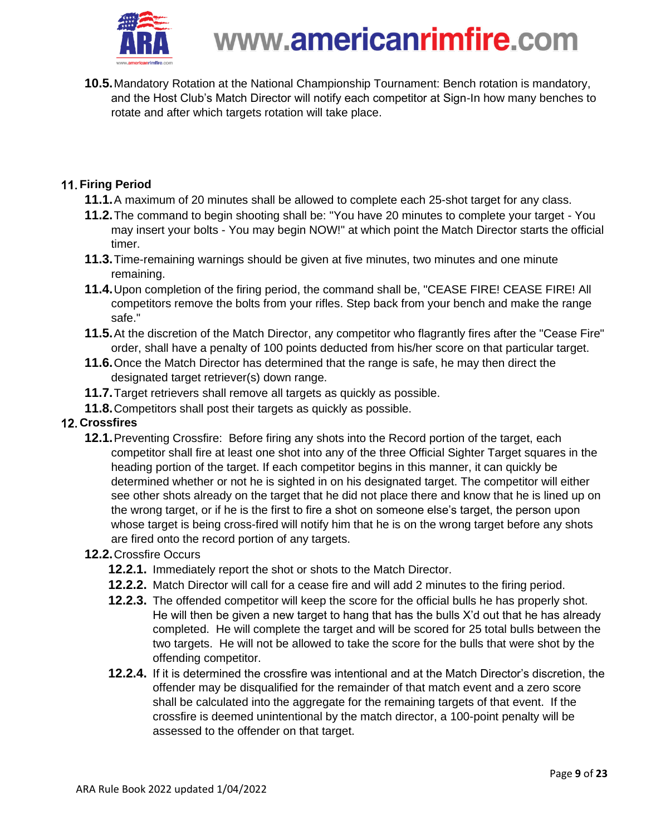

**10.5.**Mandatory Rotation at the National Championship Tournament: Bench rotation is mandatory, and the Host Club's Match Director will notify each competitor at Sign-In how many benches to rotate and after which targets rotation will take place.

### <span id="page-8-0"></span>**11. Firing Period**

- **11.1.**A maximum of 20 minutes shall be allowed to complete each 25-shot target for any class.
- **11.2.**The command to begin shooting shall be: "You have 20 minutes to complete your target You may insert your bolts - You may begin NOW!" at which point the Match Director starts the official timer.
- **11.3.**Time-remaining warnings should be given at five minutes, two minutes and one minute remaining.
- **11.4.**Upon completion of the firing period, the command shall be, "CEASE FIRE! CEASE FIRE! All competitors remove the bolts from your rifles. Step back from your bench and make the range safe."
- **11.5.**At the discretion of the Match Director, any competitor who flagrantly fires after the "Cease Fire" order, shall have a penalty of 100 points deducted from his/her score on that particular target.
- **11.6.**Once the Match Director has determined that the range is safe, he may then direct the designated target retriever(s) down range.
- **11.7.**Target retrievers shall remove all targets as quickly as possible.
- **11.8.**Competitors shall post their targets as quickly as possible.

### <span id="page-8-1"></span>**12. Crossfires**

**12.1.**Preventing Crossfire: Before firing any shots into the Record portion of the target, each competitor shall fire at least one shot into any of the three Official Sighter Target squares in the heading portion of the target. If each competitor begins in this manner, it can quickly be determined whether or not he is sighted in on his designated target. The competitor will either see other shots already on the target that he did not place there and know that he is lined up on the wrong target, or if he is the first to fire a shot on someone else's target, the person upon whose target is being cross-fired will notify him that he is on the wrong target before any shots are fired onto the record portion of any targets.

### **12.2.**Crossfire Occurs

- **12.2.1.** Immediately report the shot or shots to the Match Director.
- **12.2.2.** Match Director will call for a cease fire and will add 2 minutes to the firing period.
- **12.2.3.** The offended competitor will keep the score for the official bulls he has properly shot. He will then be given a new target to hang that has the bulls X'd out that he has already completed. He will complete the target and will be scored for 25 total bulls between the two targets. He will not be allowed to take the score for the bulls that were shot by the offending competitor.
- **12.2.4.** If it is determined the crossfire was intentional and at the Match Director's discretion, the offender may be disqualified for the remainder of that match event and a zero score shall be calculated into the aggregate for the remaining targets of that event. If the crossfire is deemed unintentional by the match director, a 100-point penalty will be assessed to the offender on that target.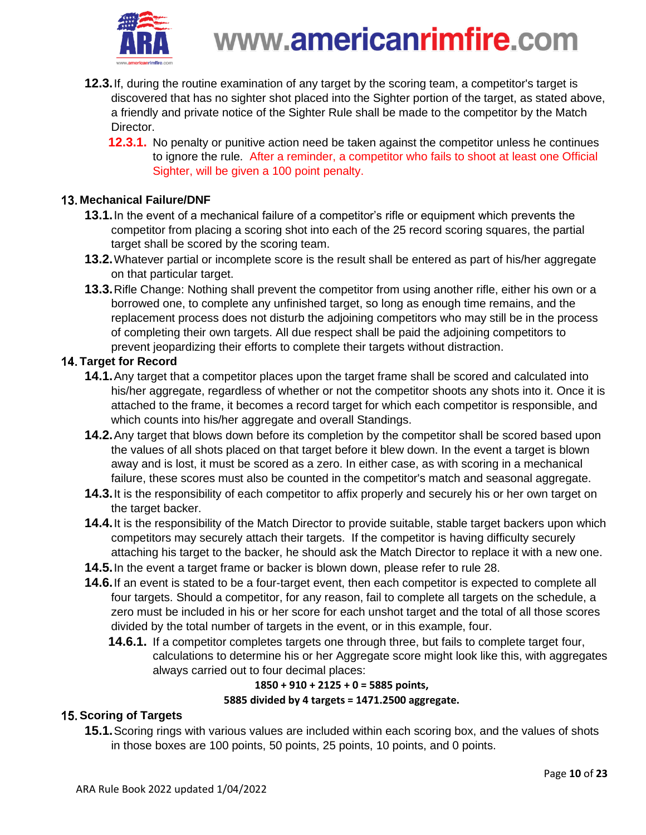

- **12.3.**If, during the routine examination of any target by the scoring team, a competitor's target is discovered that has no sighter shot placed into the Sighter portion of the target, as stated above, a friendly and private notice of the Sighter Rule shall be made to the competitor by the Match Director.
	- **12.3.1.** No penalty or punitive action need be taken against the competitor unless he continues to ignore the rule. After a reminder, a competitor who fails to shoot at least one Official Sighter, will be given a 100 point penalty.

#### <span id="page-9-0"></span>**Mechanical Failure/DNF**

- **13.1.**In the event of a mechanical failure of a competitor's rifle or equipment which prevents the competitor from placing a scoring shot into each of the 25 record scoring squares, the partial target shall be scored by the scoring team.
- **13.2.**Whatever partial or incomplete score is the result shall be entered as part of his/her aggregate on that particular target.
- **13.3.**Rifle Change: Nothing shall prevent the competitor from using another rifle, either his own or a borrowed one, to complete any unfinished target, so long as enough time remains, and the replacement process does not disturb the adjoining competitors who may still be in the process of completing their own targets. All due respect shall be paid the adjoining competitors to prevent jeopardizing their efforts to complete their targets without distraction.

#### <span id="page-9-1"></span>**Target for Record**

- **14.1.**Any target that a competitor places upon the target frame shall be scored and calculated into his/her aggregate, regardless of whether or not the competitor shoots any shots into it. Once it is attached to the frame, it becomes a record target for which each competitor is responsible, and which counts into his/her aggregate and overall Standings.
- **14.2.**Any target that blows down before its completion by the competitor shall be scored based upon the values of all shots placed on that target before it blew down. In the event a target is blown away and is lost, it must be scored as a zero. In either case, as with scoring in a mechanical failure, these scores must also be counted in the competitor's match and seasonal aggregate.
- **14.3.**It is the responsibility of each competitor to affix properly and securely his or her own target on the target backer.
- **14.4.**It is the responsibility of the Match Director to provide suitable, stable target backers upon which competitors may securely attach their targets. If the competitor is having difficulty securely attaching his target to the backer, he should ask the Match Director to replace it with a new one.
- **14.5.**In the event a target frame or backer is blown down, please refer to rule 28.
- **14.6.**If an event is stated to be a four-target event, then each competitor is expected to complete all four targets. Should a competitor, for any reason, fail to complete all targets on the schedule, a zero must be included in his or her score for each unshot target and the total of all those scores divided by the total number of targets in the event, or in this example, four.
	- **14.6.1.** If a competitor completes targets one through three, but fails to complete target four, calculations to determine his or her Aggregate score might look like this, with aggregates always carried out to four decimal places:

#### **1850 + 910 + 2125 + 0 = 5885 points,**

#### **5885 divided by 4 targets = 1471.2500 aggregate.**

### <span id="page-9-2"></span>**15. Scoring of Targets**

**15.1.**Scoring rings with various values are included within each scoring box, and the values of shots in those boxes are 100 points, 50 points, 25 points, 10 points, and 0 points.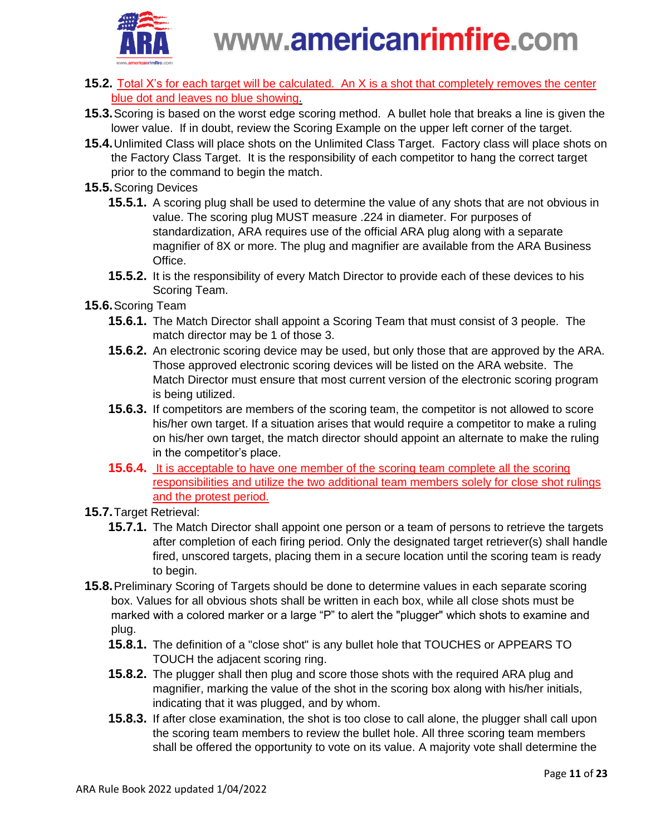

- **15.2.** Total X's for each target will be calculated. An X is a shot that completely removes the center blue dot and leaves no blue showing.
- **15.3.**Scoring is based on the worst edge scoring method. A bullet hole that breaks a line is given the lower value. If in doubt, review the Scoring Example on the upper left corner of the target.
- **15.4.**Unlimited Class will place shots on the Unlimited Class Target. Factory class will place shots on the Factory Class Target. It is the responsibility of each competitor to hang the correct target prior to the command to begin the match.
- **15.5.**Scoring Devices
	- **15.5.1.** A scoring plug shall be used to determine the value of any shots that are not obvious in value. The scoring plug MUST measure .224 in diameter. For purposes of standardization, ARA requires use of the official ARA plug along with a separate magnifier of 8X or more. The plug and magnifier are available from the ARA Business Office.
	- **15.5.2.** It is the responsibility of every Match Director to provide each of these devices to his Scoring Team.
- **15.6.**Scoring Team
	- **15.6.1.** The Match Director shall appoint a Scoring Team that must consist of 3 people. The match director may be 1 of those 3.
	- **15.6.2.** An electronic scoring device may be used, but only those that are approved by the ARA. Those approved electronic scoring devices will be listed on the ARA website. The Match Director must ensure that most current version of the electronic scoring program is being utilized.
	- **15.6.3.** If competitors are members of the scoring team, the competitor is not allowed to score his/her own target. If a situation arises that would require a competitor to make a ruling on his/her own target, the match director should appoint an alternate to make the ruling in the competitor's place.
	- **15.6.4.** It is acceptable to have one member of the scoring team complete all the scoring responsibilities and utilize the two additional team members solely for close shot rulings and the protest period.
- **15.7.**Target Retrieval:
	- **15.7.1.** The Match Director shall appoint one person or a team of persons to retrieve the targets after completion of each firing period. Only the designated target retriever(s) shall handle fired, unscored targets, placing them in a secure location until the scoring team is ready to begin.
- **15.8.**Preliminary Scoring of Targets should be done to determine values in each separate scoring box. Values for all obvious shots shall be written in each box, while all close shots must be marked with a colored marker or a large "P" to alert the "plugger" which shots to examine and plug.
	- **15.8.1.** The definition of a "close shot" is any bullet hole that TOUCHES or APPEARS TO TOUCH the adjacent scoring ring.
	- **15.8.2.** The plugger shall then plug and score those shots with the required ARA plug and magnifier, marking the value of the shot in the scoring box along with his/her initials, indicating that it was plugged, and by whom.
	- **15.8.3.** If after close examination, the shot is too close to call alone, the plugger shall call upon the scoring team members to review the bullet hole. All three scoring team members shall be offered the opportunity to vote on its value. A majority vote shall determine the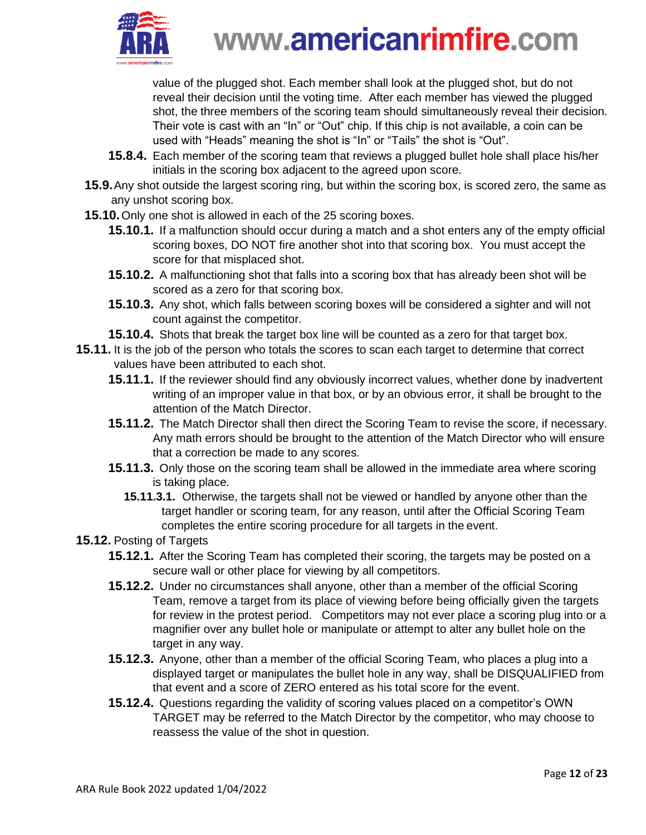

value of the plugged shot. Each member shall look at the plugged shot, but do not reveal their decision until the voting time. After each member has viewed the plugged shot, the three members of the scoring team should simultaneously reveal their decision. Their vote is cast with an "In" or "Out" chip. If this chip is not available, a coin can be used with "Heads" meaning the shot is "In" or "Tails" the shot is "Out".

- **15.8.4.** Each member of the scoring team that reviews a plugged bullet hole shall place his/her initials in the scoring box adjacent to the agreed upon score.
- **15.9.**Any shot outside the largest scoring ring, but within the scoring box, is scored zero, the same as any unshot scoring box.
- **15.10.**Only one shot is allowed in each of the 25 scoring boxes.
	- **15.10.1.** If a malfunction should occur during a match and a shot enters any of the empty official scoring boxes, DO NOT fire another shot into that scoring box. You must accept the score for that misplaced shot.
	- **15.10.2.** A malfunctioning shot that falls into a scoring box that has already been shot will be scored as a zero for that scoring box.
	- **15.10.3.** Any shot, which falls between scoring boxes will be considered a sighter and will not count against the competitor.
	- **15.10.4.** Shots that break the target box line will be counted as a zero for that target box.
- **15.11.** It is the job of the person who totals the scores to scan each target to determine that correct values have been attributed to each shot.
	- **15.11.1.** If the reviewer should find any obviously incorrect values, whether done by inadvertent writing of an improper value in that box, or by an obvious error, it shall be brought to the attention of the Match Director.
	- **15.11.2.** The Match Director shall then direct the Scoring Team to revise the score, if necessary. Any math errors should be brought to the attention of the Match Director who will ensure that a correction be made to any scores.
	- **15.11.3.** Only those on the scoring team shall be allowed in the immediate area where scoring is taking place.
		- **15.11.3.1.** Otherwise, the targets shall not be viewed or handled by anyone other than the target handler or scoring team, for any reason, until after the Official Scoring Team completes the entire scoring procedure for all targets in the event.
- **15.12.** Posting of Targets
	- **15.12.1.** After the Scoring Team has completed their scoring, the targets may be posted on a secure wall or other place for viewing by all competitors.
	- **15.12.2.** Under no circumstances shall anyone, other than a member of the official Scoring Team, remove a target from its place of viewing before being officially given the targets for review in the protest period. Competitors may not ever place a scoring plug into or a magnifier over any bullet hole or manipulate or attempt to alter any bullet hole on the target in any way.
	- **15.12.3.** Anyone, other than a member of the official Scoring Team, who places a plug into a displayed target or manipulates the bullet hole in any way, shall be DISQUALIFIED from that event and a score of ZERO entered as his total score for the event.
	- **15.12.4.** Questions regarding the validity of scoring values placed on a competitor's OWN TARGET may be referred to the Match Director by the competitor, who may choose to reassess the value of the shot in question.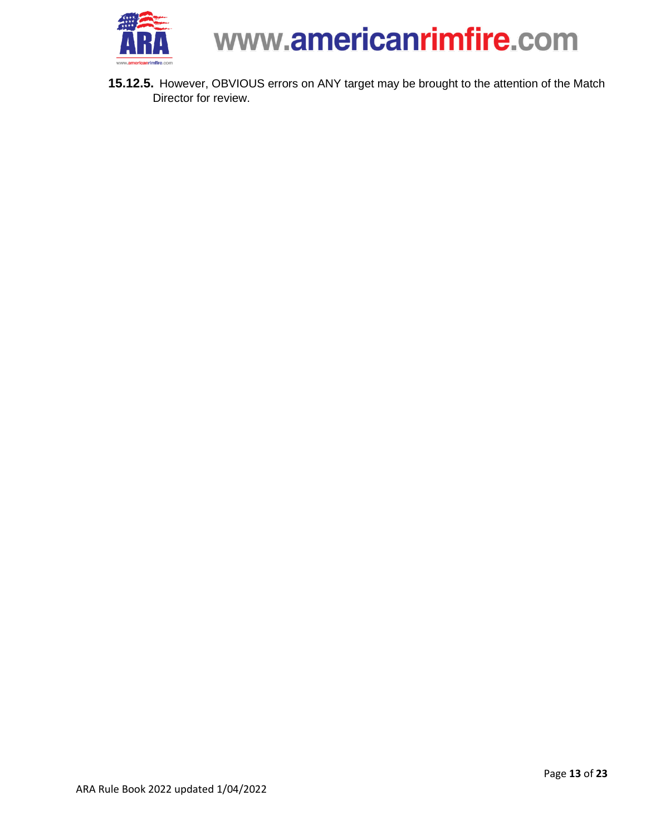

<span id="page-12-0"></span>**15.12.5.** However, OBVIOUS errors on ANY target may be brought to the attention of the Match Director for review.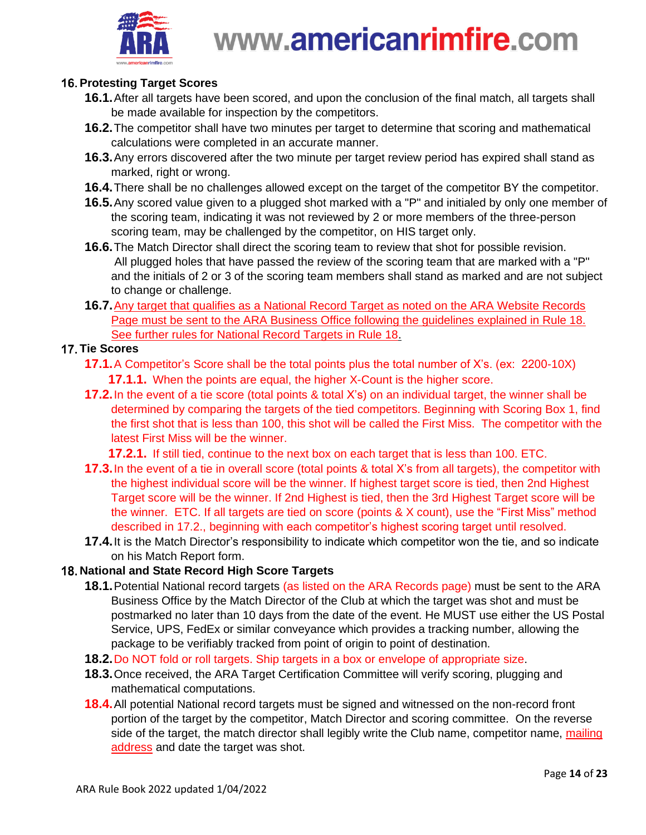

### **Protesting Target Scores**

- **16.1.**After all targets have been scored, and upon the conclusion of the final match, all targets shall be made available for inspection by the competitors.
- **16.2.**The competitor shall have two minutes per target to determine that scoring and mathematical calculations were completed in an accurate manner.
- **16.3.**Any errors discovered after the two minute per target review period has expired shall stand as marked, right or wrong.
- **16.4.**There shall be no challenges allowed except on the target of the competitor BY the competitor.
- **16.5.**Any scored value given to a plugged shot marked with a "P" and initialed by only one member of the scoring team, indicating it was not reviewed by 2 or more members of the three-person scoring team, may be challenged by the competitor, on HIS target only.
- **16.6.**The Match Director shall direct the scoring team to review that shot for possible revision. All plugged holes that have passed the review of the scoring team that are marked with a "P" and the initials of 2 or 3 of the scoring team members shall stand as marked and are not subject to change or challenge.
- **16.7.**Any target that qualifies as a National Record Target as noted on the ARA Website Records Page must be sent to the ARA Business Office following the guidelines explained in Rule 18. See further rules for National Record Targets in Rule 18.

#### <span id="page-13-0"></span>**17. Tie Scores**

- **17.1.**A Competitor's Score shall be the total points plus the total number of X's. (ex: 2200-10X) **17.1.1.** When the points are equal, the higher X-Count is the higher score.
- **17.2.**In the event of a tie score (total points & total X's) on an individual target, the winner shall be determined by comparing the targets of the tied competitors. Beginning with Scoring Box 1, find the first shot that is less than 100, this shot will be called the First Miss. The competitor with the latest First Miss will be the winner.
	- **17.2.1.** If still tied, continue to the next box on each target that is less than 100. ETC.
- **17.3.**In the event of a tie in overall score (total points & total X's from all targets), the competitor with the highest individual score will be the winner. If highest target score is tied, then 2nd Highest Target score will be the winner. If 2nd Highest is tied, then the 3rd Highest Target score will be the winner. ETC. If all targets are tied on score (points & X count), use the "First Miss" method described in 17.2., beginning with each competitor's highest scoring target until resolved.
- **17.4.**It is the Match Director's responsibility to indicate which competitor won the tie, and so indicate on his Match Report form.

#### <span id="page-13-1"></span>**National and State Record High Score Targets**

- **18.1.**Potential National record targets (as listed on the ARA Records page) must be sent to the ARA Business Office by the Match Director of the Club at which the target was shot and must be postmarked no later than 10 days from the date of the event. He MUST use either the US Postal Service, UPS, FedEx or similar conveyance which provides a tracking number, allowing the package to be verifiably tracked from point of origin to point of destination.
- **18.2.**Do NOT fold or roll targets. Ship targets in a box or envelope of appropriate size.
- **18.3.**Once received, the ARA Target Certification Committee will verify scoring, plugging and mathematical computations.
- **18.4.**All potential National record targets must be signed and witnessed on the non-record front portion of the target by the competitor, Match Director and scoring committee. On the reverse side of the target, the match director shall legibly write the Club name, competitor name, mailing address and date the target was shot.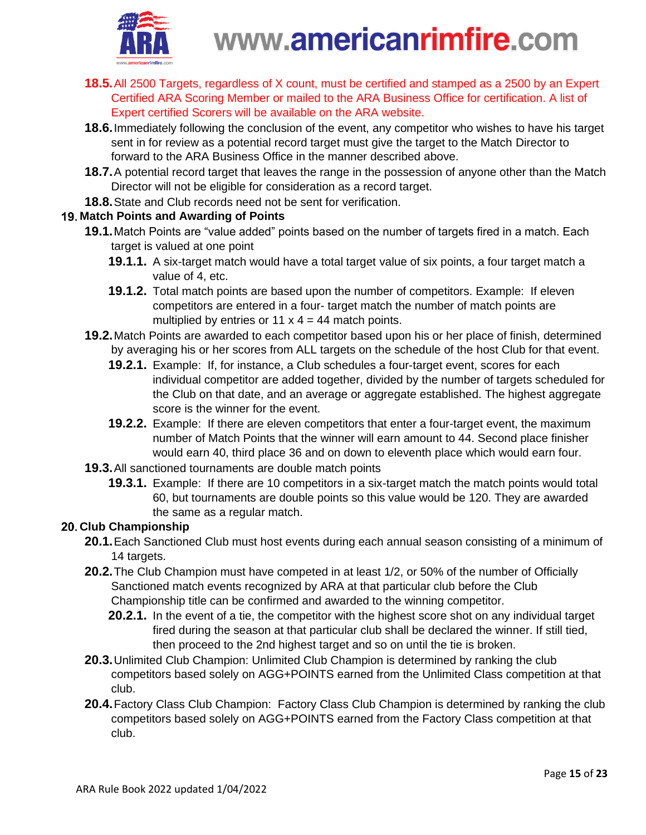

- **18.5.**All 2500 Targets, regardless of X count, must be certified and stamped as a 2500 by an Expert Certified ARA Scoring Member or mailed to the ARA Business Office for certification. A list of Expert certified Scorers will be available on the ARA website.
- **18.6.**Immediately following the conclusion of the event, any competitor who wishes to have his target sent in for review as a potential record target must give the target to the Match Director to forward to the ARA Business Office in the manner described above.
- **18.7.**A potential record target that leaves the range in the possession of anyone other than the Match Director will not be eligible for consideration as a record target.
- **18.8.**State and Club records need not be sent for verification.

### <span id="page-14-0"></span>**Match Points and Awarding of Points**

- **19.1.**Match Points are "value added" points based on the number of targets fired in a match. Each target is valued at one point
	- **19.1.1.** A six-target match would have a total target value of six points, a four target match a value of 4, etc.
	- **19.1.2.** Total match points are based upon the number of competitors. Example: If eleven competitors are entered in a four- target match the number of match points are multiplied by entries or 11  $x$  4 = 44 match points.
- **19.2.**Match Points are awarded to each competitor based upon his or her place of finish, determined by averaging his or her scores from ALL targets on the schedule of the host Club for that event.
	- **19.2.1.** Example: If, for instance, a Club schedules a four-target event, scores for each individual competitor are added together, divided by the number of targets scheduled for the Club on that date, and an average or aggregate established. The highest aggregate score is the winner for the event.
	- **19.2.2.** Example: If there are eleven competitors that enter a four-target event, the maximum number of Match Points that the winner will earn amount to 44. Second place finisher would earn 40, third place 36 and on down to eleventh place which would earn four.
- **19.3.**All sanctioned tournaments are double match points
	- **19.3.1.** Example: If there are 10 competitors in a six-target match the match points would total 60, but tournaments are double points so this value would be 120. They are awarded the same as a regular match.

### <span id="page-14-1"></span>**Club Championship**

- **20.1.**Each Sanctioned Club must host events during each annual season consisting of a minimum of 14 targets.
- **20.2.**The Club Champion must have competed in at least 1/2, or 50% of the number of Officially Sanctioned match events recognized by ARA at that particular club before the Club Championship title can be confirmed and awarded to the winning competitor.
	- **20.2.1.** In the event of a tie, the competitor with the highest score shot on any individual target fired during the season at that particular club shall be declared the winner. If still tied, then proceed to the 2nd highest target and so on until the tie is broken.
- **20.3.**Unlimited Club Champion: Unlimited Club Champion is determined by ranking the club competitors based solely on AGG+POINTS earned from the Unlimited Class competition at that club.
- **20.4.**Factory Class Club Champion: Factory Class Club Champion is determined by ranking the club competitors based solely on AGG+POINTS earned from the Factory Class competition at that club.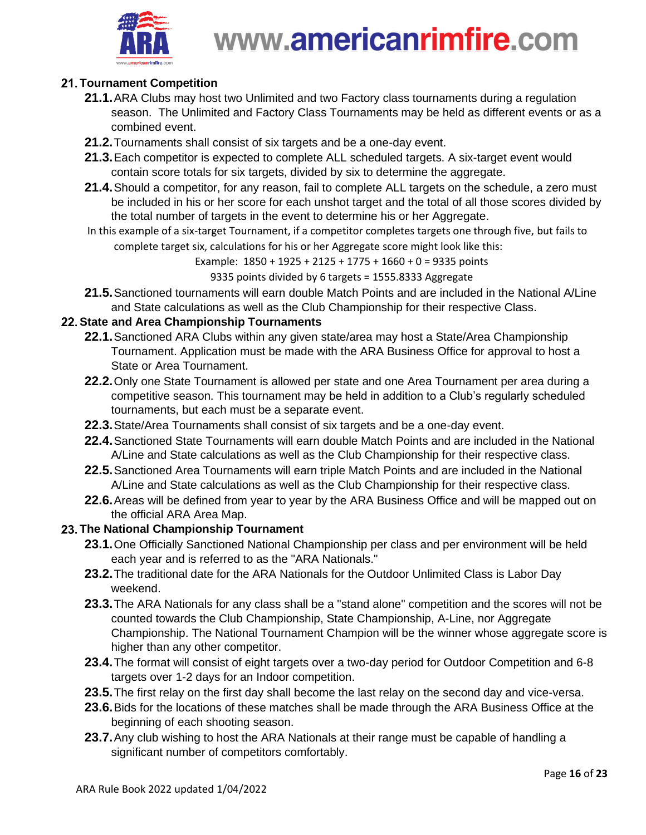

### <span id="page-15-0"></span>**Tournament Competition**

- **21.1.**ARA Clubs may host two Unlimited and two Factory class tournaments during a regulation season. The Unlimited and Factory Class Tournaments may be held as different events or as a combined event.
- **21.2.**Tournaments shall consist of six targets and be a one-day event.
- **21.3.**Each competitor is expected to complete ALL scheduled targets. A six-target event would contain score totals for six targets, divided by six to determine the aggregate.
- **21.4.**Should a competitor, for any reason, fail to complete ALL targets on the schedule, a zero must be included in his or her score for each unshot target and the total of all those scores divided by the total number of targets in the event to determine his or her Aggregate.
- In this example of a six-target Tournament, if a competitor completes targets one through five, but fails to complete target six, calculations for his or her Aggregate score might look like this:

Example:  $1850 + 1925 + 2125 + 1775 + 1660 + 0 = 9335$  points

9335 points divided by 6 targets = 1555.8333 Aggregate

**21.5.**Sanctioned tournaments will earn double Match Points and are included in the National A/Line and State calculations as well as the Club Championship for their respective Class.

### <span id="page-15-1"></span>**State and Area Championship Tournaments**

- **22.1.**Sanctioned ARA Clubs within any given state/area may host a State/Area Championship Tournament. Application must be made with the ARA Business Office for approval to host a State or Area Tournament.
- **22.2.**Only one State Tournament is allowed per state and one Area Tournament per area during a competitive season. This tournament may be held in addition to a Club's regularly scheduled tournaments, but each must be a separate event.
- **22.3.**State/Area Tournaments shall consist of six targets and be a one-day event.
- **22.4.**Sanctioned State Tournaments will earn double Match Points and are included in the National A/Line and State calculations as well as the Club Championship for their respective class.
- **22.5.**Sanctioned Area Tournaments will earn triple Match Points and are included in the National A/Line and State calculations as well as the Club Championship for their respective class.
- **22.6.**Areas will be defined from year to year by the ARA Business Office and will be mapped out on the official ARA Area Map.

### <span id="page-15-2"></span>**The National Championship Tournament**

- **23.1.**One Officially Sanctioned National Championship per class and per environment will be held each year and is referred to as the "ARA Nationals."
- **23.2.**The traditional date for the ARA Nationals for the Outdoor Unlimited Class is Labor Day weekend.
- **23.3.**The ARA Nationals for any class shall be a "stand alone" competition and the scores will not be counted towards the Club Championship, State Championship, A-Line, nor Aggregate Championship. The National Tournament Champion will be the winner whose aggregate score is higher than any other competitor.
- **23.4.**The format will consist of eight targets over a two-day period for Outdoor Competition and 6-8 targets over 1-2 days for an Indoor competition.
- **23.5.**The first relay on the first day shall become the last relay on the second day and vice-versa.
- **23.6.**Bids for the locations of these matches shall be made through the ARA Business Office at the beginning of each shooting season.
- **23.7.**Any club wishing to host the ARA Nationals at their range must be capable of handling a significant number of competitors comfortably.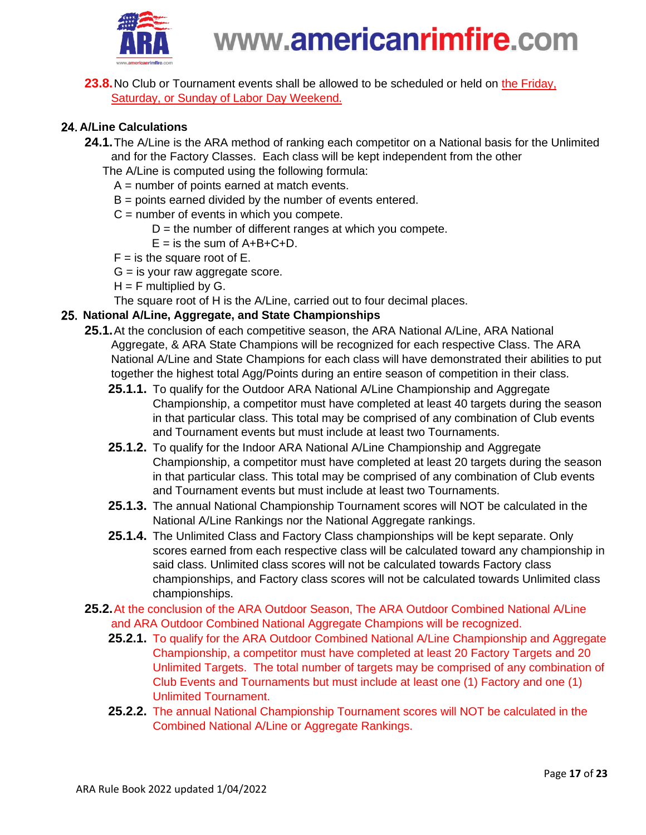

**23.8.**No Club or Tournament events shall be allowed to be scheduled or held on the Friday, Saturday, or Sunday of Labor Day Weekend.

### <span id="page-16-0"></span>**A/Line Calculations**

- **24.1.**The A/Line is the ARA method of ranking each competitor on a National basis for the Unlimited and for the Factory Classes. Each class will be kept independent from the other
	- The A/Line is computed using the following formula:
		- $A =$  number of points earned at match events.
		- B = points earned divided by the number of events entered.
		- $C =$  number of events in which you compete.
			- $D =$  the number of different ranges at which you compete.
			- $E =$  is the sum of  $A+B+C+D$ .
		- $F =$  is the square root of E.
		- $G =$  is your raw aggregate score.
		- $H = F$  multiplied by G.

The square root of H is the A/Line, carried out to four decimal places.

#### **National A/Line, Aggregate, and State Championships**

- <span id="page-16-1"></span>**25.1.**At the conclusion of each competitive season, the ARA National A/Line, ARA National Aggregate, & ARA State Champions will be recognized for each respective Class. The ARA National A/Line and State Champions for each class will have demonstrated their abilities to put together the highest total Agg/Points during an entire season of competition in their class.
	- **25.1.1.** To qualify for the Outdoor ARA National A/Line Championship and Aggregate Championship, a competitor must have completed at least 40 targets during the season in that particular class. This total may be comprised of any combination of Club events and Tournament events but must include at least two Tournaments.
	- **25.1.2.** To qualify for the Indoor ARA National A/Line Championship and Aggregate Championship, a competitor must have completed at least 20 targets during the season in that particular class. This total may be comprised of any combination of Club events and Tournament events but must include at least two Tournaments.
	- **25.1.3.** The annual National Championship Tournament scores will NOT be calculated in the National A/Line Rankings nor the National Aggregate rankings.
	- **25.1.4.** The Unlimited Class and Factory Class championships will be kept separate. Only scores earned from each respective class will be calculated toward any championship in said class. Unlimited class scores will not be calculated towards Factory class championships, and Factory class scores will not be calculated towards Unlimited class championships.
- **25.2.**At the conclusion of the ARA Outdoor Season, The ARA Outdoor Combined National A/Line and ARA Outdoor Combined National Aggregate Champions will be recognized.
	- **25.2.1.** To qualify for the ARA Outdoor Combined National A/Line Championship and Aggregate Championship, a competitor must have completed at least 20 Factory Targets and 20 Unlimited Targets. The total number of targets may be comprised of any combination of Club Events and Tournaments but must include at least one (1) Factory and one (1) Unlimited Tournament.
	- **25.2.2.** The annual National Championship Tournament scores will NOT be calculated in the Combined National A/Line or Aggregate Rankings.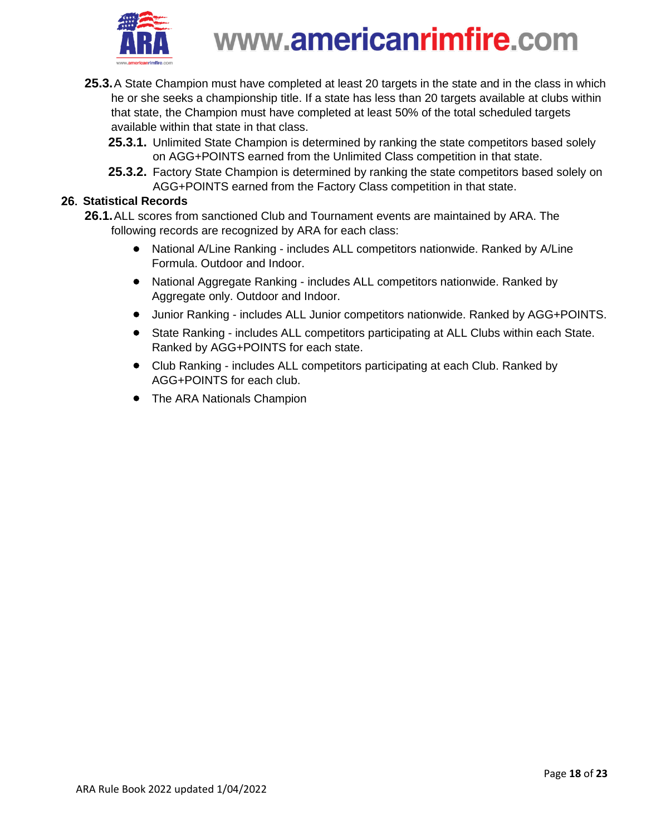

- **25.3.**A State Champion must have completed at least 20 targets in the state and in the class in which he or she seeks a championship title. If a state has less than 20 targets available at clubs within that state, the Champion must have completed at least 50% of the total scheduled targets available within that state in that class.
	- **25.3.1.** Unlimited State Champion is determined by ranking the state competitors based solely on AGG+POINTS earned from the Unlimited Class competition in that state.
	- **25.3.2.** Factory State Champion is determined by ranking the state competitors based solely on AGG+POINTS earned from the Factory Class competition in that state.

#### **Statistical Records**

- <span id="page-17-0"></span>**26.1.**ALL scores from sanctioned Club and Tournament events are maintained by ARA. The following records are recognized by ARA for each class:
	- National A/Line Ranking includes ALL competitors nationwide. Ranked by A/Line Formula. Outdoor and Indoor.
	- National Aggregate Ranking includes ALL competitors nationwide. Ranked by Aggregate only. Outdoor and Indoor.
	- Junior Ranking includes ALL Junior competitors nationwide. Ranked by AGG+POINTS.
	- State Ranking includes ALL competitors participating at ALL Clubs within each State. Ranked by AGG+POINTS for each state.
	- Club Ranking includes ALL competitors participating at each Club. Ranked by AGG+POINTS for each club.
	- The ARA Nationals Champion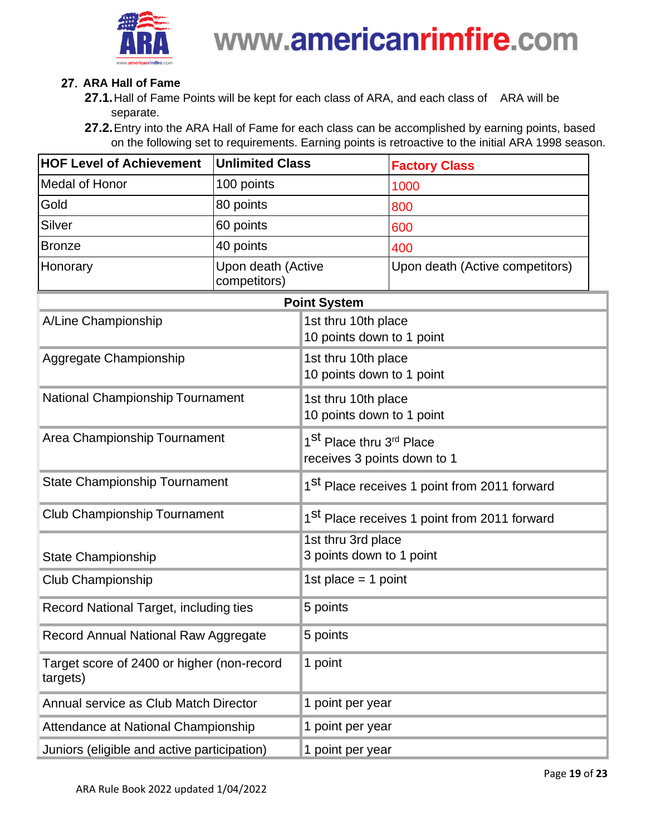

### 27. ARA Hall of Fame

- <span id="page-18-0"></span>**27.1.**Hall of Fame Points will be kept for each class of ARA, and each class of ARA will be separate.
- **27.2.**Entry into the ARA Hall of Fame for each class can be accomplished by earning points, based on the following set to requirements. Earning points is retroactive to the initial ARA 1998 season.

| <b>HOF Level of Achievement</b>                        | <b>Unlimited Class</b>             |                                                                                 | <b>Factory Class</b>            |  |  |
|--------------------------------------------------------|------------------------------------|---------------------------------------------------------------------------------|---------------------------------|--|--|
| <b>Medal of Honor</b>                                  | 100 points                         |                                                                                 | 1000                            |  |  |
| 80 points<br>Gold                                      |                                    |                                                                                 | 800                             |  |  |
| <b>Silver</b><br>60 points                             |                                    |                                                                                 | 600                             |  |  |
| <b>Bronze</b>                                          | 40 points                          |                                                                                 | 400                             |  |  |
| Honorary                                               | Upon death (Active<br>competitors) |                                                                                 | Upon death (Active competitors) |  |  |
| <b>Point System</b>                                    |                                    |                                                                                 |                                 |  |  |
| A/Line Championship                                    |                                    | 1st thru 10th place<br>10 points down to 1 point                                |                                 |  |  |
| Aggregate Championship                                 |                                    | 1st thru 10th place<br>10 points down to 1 point                                |                                 |  |  |
| <b>National Championship Tournament</b>                |                                    | 1st thru 10th place<br>10 points down to 1 point                                |                                 |  |  |
| Area Championship Tournament                           |                                    | 1 <sup>St</sup> Place thru 3 <sup>rd</sup> Place<br>receives 3 points down to 1 |                                 |  |  |
| <b>State Championship Tournament</b>                   |                                    | 1 <sup>St</sup> Place receives 1 point from 2011 forward                        |                                 |  |  |
| <b>Club Championship Tournament</b>                    |                                    | 1 <sup>St</sup> Place receives 1 point from 2011 forward                        |                                 |  |  |
| <b>State Championship</b>                              |                                    | 1st thru 3rd place<br>3 points down to 1 point                                  |                                 |  |  |
| Club Championship                                      |                                    | 1st place = 1 point                                                             |                                 |  |  |
| Record National Target, including ties                 |                                    | 5 points                                                                        |                                 |  |  |
| Record Annual National Raw Aggregate                   |                                    | 5 points                                                                        |                                 |  |  |
| Target score of 2400 or higher (non-record<br>targets) |                                    | 1 point                                                                         |                                 |  |  |
| Annual service as Club Match Director                  |                                    | 1 point per year                                                                |                                 |  |  |
| Attendance at National Championship                    |                                    | 1 point per year                                                                |                                 |  |  |
| Juniors (eligible and active participation)            |                                    | 1 point per year                                                                |                                 |  |  |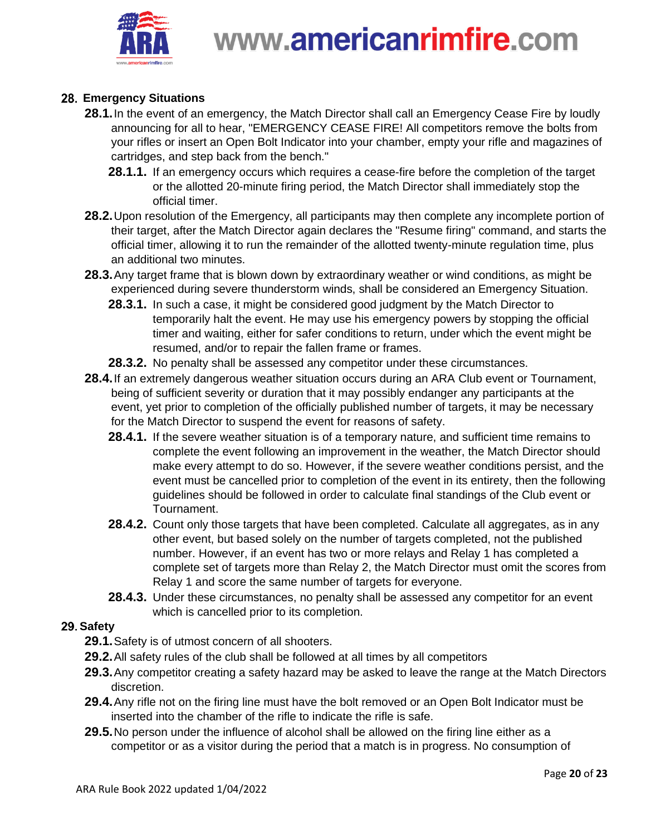

### **Emergency Situations**

- <span id="page-19-0"></span>**28.1.**In the event of an emergency, the Match Director shall call an Emergency Cease Fire by loudly announcing for all to hear, "EMERGENCY CEASE FIRE! All competitors remove the bolts from your rifles or insert an Open Bolt Indicator into your chamber, empty your rifle and magazines of cartridges, and step back from the bench."
	- **28.1.1.** If an emergency occurs which requires a cease-fire before the completion of the target or the allotted 20-minute firing period, the Match Director shall immediately stop the official timer.
- **28.2.**Upon resolution of the Emergency, all participants may then complete any incomplete portion of their target, after the Match Director again declares the "Resume firing" command, and starts the official timer, allowing it to run the remainder of the allotted twenty-minute regulation time, plus an additional two minutes.
- **28.3.**Any target frame that is blown down by extraordinary weather or wind conditions, as might be experienced during severe thunderstorm winds, shall be considered an Emergency Situation.
	- **28.3.1.** In such a case, it might be considered good judgment by the Match Director to temporarily halt the event. He may use his emergency powers by stopping the official timer and waiting, either for safer conditions to return, under which the event might be resumed, and/or to repair the fallen frame or frames.
	- **28.3.2.** No penalty shall be assessed any competitor under these circumstances.
- **28.4.**If an extremely dangerous weather situation occurs during an ARA Club event or Tournament, being of sufficient severity or duration that it may possibly endanger any participants at the event, yet prior to completion of the officially published number of targets, it may be necessary for the Match Director to suspend the event for reasons of safety.
	- **28.4.1.** If the severe weather situation is of a temporary nature, and sufficient time remains to complete the event following an improvement in the weather, the Match Director should make every attempt to do so. However, if the severe weather conditions persist, and the event must be cancelled prior to completion of the event in its entirety, then the following guidelines should be followed in order to calculate final standings of the Club event or Tournament.
	- **28.4.2.** Count only those targets that have been completed. Calculate all aggregates, as in any other event, but based solely on the number of targets completed, not the published number. However, if an event has two or more relays and Relay 1 has completed a complete set of targets more than Relay 2, the Match Director must omit the scores from Relay 1 and score the same number of targets for everyone.
	- **28.4.3.** Under these circumstances, no penalty shall be assessed any competitor for an event which is cancelled prior to its completion.

#### <span id="page-19-1"></span>29. Safety

- **29.1.**Safety is of utmost concern of all shooters.
- **29.2.**All safety rules of the club shall be followed at all times by all competitors
- **29.3.**Any competitor creating a safety hazard may be asked to leave the range at the Match Directors discretion.
- **29.4.**Any rifle not on the firing line must have the bolt removed or an Open Bolt Indicator must be inserted into the chamber of the rifle to indicate the rifle is safe.
- **29.5.**No person under the influence of alcohol shall be allowed on the firing line either as a competitor or as a visitor during the period that a match is in progress. No consumption of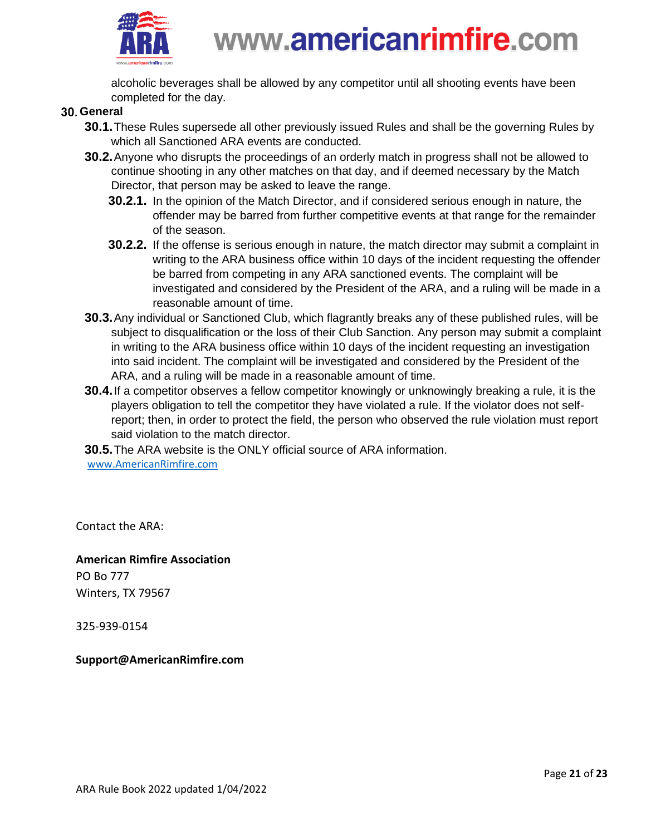

alcoholic beverages shall be allowed by any competitor until all shooting events have been completed for the day.

#### <span id="page-20-0"></span>**General**

- **30.1.**These Rules supersede all other previously issued Rules and shall be the governing Rules by which all Sanctioned ARA events are conducted.
- **30.2.**Anyone who disrupts the proceedings of an orderly match in progress shall not be allowed to continue shooting in any other matches on that day, and if deemed necessary by the Match Director, that person may be asked to leave the range.
	- **30.2.1.** In the opinion of the Match Director, and if considered serious enough in nature, the offender may be barred from further competitive events at that range for the remainder of the season.
	- **30.2.2.** If the offense is serious enough in nature, the match director may submit a complaint in writing to the ARA business office within 10 days of the incident requesting the offender be barred from competing in any ARA sanctioned events. The complaint will be investigated and considered by the President of the ARA, and a ruling will be made in a reasonable amount of time.
- **30.3.**Any individual or Sanctioned Club, which flagrantly breaks any of these published rules, will be subject to disqualification or the loss of their Club Sanction. Any person may submit a complaint in writing to the ARA business office within 10 days of the incident requesting an investigation into said incident. The complaint will be investigated and considered by the President of the ARA, and a ruling will be made in a reasonable amount of time.
- **30.4.**If a competitor observes a fellow competitor knowingly or unknowingly breaking a rule, it is the players obligation to tell the competitor they have violated a rule. If the violator does not selfreport; then, in order to protect the field, the person who observed the rule violation must report said violation to the match director.

**30.5.**The ARA website is the ONLY official source of ARA information. [www.AmericanRimfire.com](http://www.americanrimfire.com/)

Contact the ARA:

**American Rimfire Association** PO Bo 777 Winters, TX 79567

325-939-0154

**Support@AmericanRimfire.com**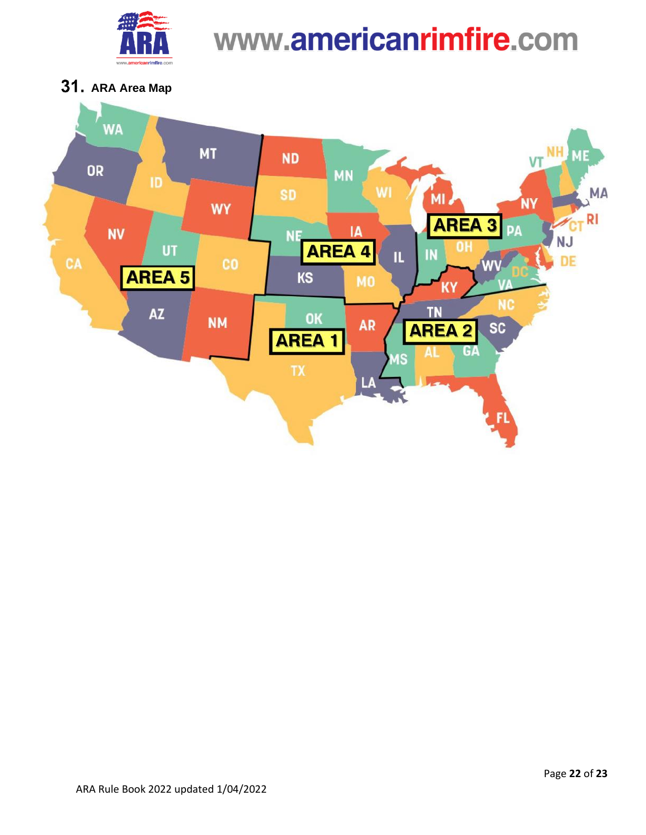

**ARA Area Map**

<span id="page-21-0"></span>